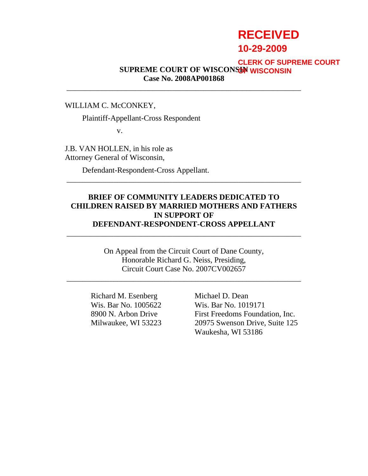# **RECEIVED 10-29-2009**

#### **SUPREME COURT OF WISCONSIN OF WISCONSINCase No. 2008AP001868 CLERK OF SUPREME COURT**

WILLIAM C. McCONKEY,

Plaintiff-Appellant-Cross Respondent

v.

J.B. VAN HOLLEN, in his role as Attorney General of Wisconsin,

Defendant-Respondent-Cross Appellant.

#### **BRIEF OF COMMUNITY LEADERS DEDICATED TO CHILDREN RAISED BY MARRIED MOTHERS AND FATHERS IN SUPPORT OF DEFENDANT-RESPONDENT-CROSS APPELLANT**

\_\_\_\_\_\_\_\_\_\_\_\_\_\_\_\_\_\_\_\_\_\_\_\_\_\_\_\_\_\_\_\_\_\_\_\_\_\_\_\_\_\_\_\_\_\_\_\_\_\_\_\_\_\_\_\_\_\_\_\_

\_\_\_\_\_\_\_\_\_\_\_\_\_\_\_\_\_\_\_\_\_\_\_\_\_\_\_\_\_\_\_\_\_\_\_\_\_\_\_\_\_\_\_\_\_\_\_\_\_\_\_\_\_\_\_\_\_\_\_\_

\_\_\_\_\_\_\_\_\_\_\_\_\_\_\_\_\_\_\_\_\_\_\_\_\_\_\_\_\_\_\_\_\_\_\_\_\_\_\_\_\_\_\_\_\_\_\_\_\_\_\_\_\_\_\_\_\_\_\_\_

On Appeal from the Circuit Court of Dane County, Honorable Richard G. Neiss, Presiding, Circuit Court Case No. 2007CV002657

\_\_\_\_\_\_\_\_\_\_\_\_\_\_\_\_\_\_\_\_\_\_\_\_\_\_\_\_\_\_\_\_\_\_\_\_\_\_\_\_\_\_\_\_\_\_\_\_\_\_\_\_\_\_\_\_\_\_\_\_

Richard M. Esenberg Michael D. Dean Wis. Bar No. 1005622 Wis. Bar No. 1019171

8900 N. Arbon Drive First Freedoms Foundation, Inc. Milwaukee, WI 53223 20975 Swenson Drive, Suite 125 Waukesha, WI 53186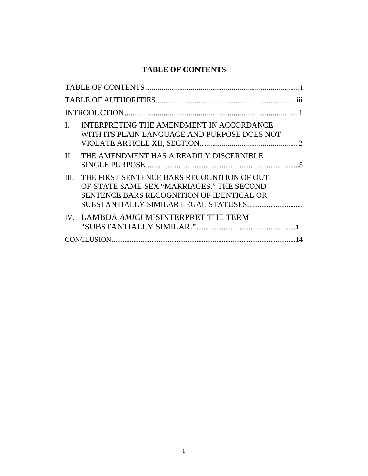## **TABLE OF CONTENTS**

|    |                                                                                                                                            | .iii |
|----|--------------------------------------------------------------------------------------------------------------------------------------------|------|
|    |                                                                                                                                            |      |
| L. | INTERPRETING THE AMENDMENT IN ACCORDANCE<br>WITH ITS PLAIN LANGUAGE AND PURPOSE DOES NOT                                                   |      |
| П. | THE AMENDMENT HAS A READILY DISCERNIBLE                                                                                                    | -5   |
|    | III. THE FIRST SENTENCE BARS RECOGNITION OF OUT-<br>OF-STATE SAME-SEX "MARRIAGES." THE SECOND<br>SENTENCE BARS RECOGNITION OF IDENTICAL OR |      |
|    | IV. LAMBDA AMICI MISINTERPRET THE TERM                                                                                                     |      |
|    |                                                                                                                                            | 14   |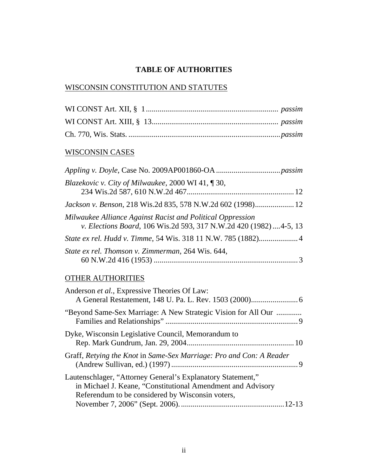## **TABLE OF AUTHORITIES**

## WISCONSIN CONSTITUTION AND STATUTES

#### WISCONSIN CASES

| Blazekovic v. City of Milwaukee, 2000 WI 41, ¶30,                                                                              |
|--------------------------------------------------------------------------------------------------------------------------------|
|                                                                                                                                |
| Milwaukee Alliance Against Racist and Political Oppression<br>v. Elections Board, 106 Wis.2d 593, 317 N.W.2d 420 (1982)4-5, 13 |
|                                                                                                                                |
| State ex rel. Thomson v. Zimmerman, 264 Wis. 644,                                                                              |

## OTHER AUTHORITIES

| Anderson et al., Expressive Theories Of Law:                                                                                                                                   |  |
|--------------------------------------------------------------------------------------------------------------------------------------------------------------------------------|--|
| "Beyond Same-Sex Marriage: A New Strategic Vision for All Our                                                                                                                  |  |
| Dyke, Wisconsin Legislative Council, Memorandum to                                                                                                                             |  |
| Graff, Retying the Knot in Same-Sex Marriage: Pro and Con: A Reader                                                                                                            |  |
| Lautenschlager, "Attorney General's Explanatory Statement,"<br>in Michael J. Keane, "Constitutional Amendment and Advisory<br>Referendum to be considered by Wisconsin voters, |  |
|                                                                                                                                                                                |  |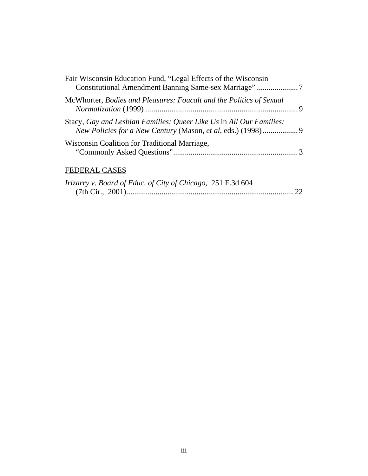| Fair Wisconsin Education Fund, "Legal Effects of the Wisconsin      |
|---------------------------------------------------------------------|
| McWhorter, Bodies and Pleasures: Foucalt and the Politics of Sexual |
| Stacy, Gay and Lesbian Families; Queer Like Us in All Our Families: |
| Wisconsin Coalition for Traditional Marriage,                       |
| <b>FEDERAL CASES</b>                                                |
| Irizarry v. Board of Educ. of City of Chicago, 251 F.3d 604         |

(7th Cir., 2001)...................................................................................... 22

#### iii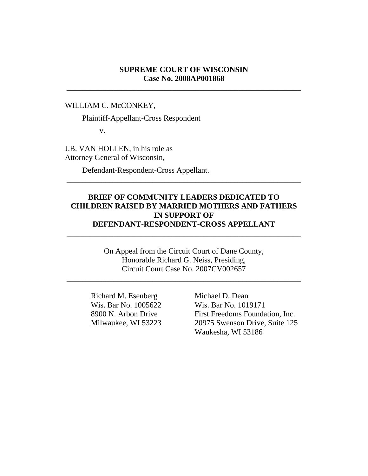#### **SUPREME COURT OF WISCONSIN Case No. 2008AP001868**

\_\_\_\_\_\_\_\_\_\_\_\_\_\_\_\_\_\_\_\_\_\_\_\_\_\_\_\_\_\_\_\_\_\_\_\_\_\_\_\_\_\_\_\_\_\_\_\_\_\_\_\_\_\_\_\_\_\_\_\_

WILLIAM C. McCONKEY,

Plaintiff-Appellant-Cross Respondent

v.

J.B. VAN HOLLEN, in his role as Attorney General of Wisconsin,

Defendant-Respondent-Cross Appellant.

#### **BRIEF OF COMMUNITY LEADERS DEDICATED TO CHILDREN RAISED BY MARRIED MOTHERS AND FATHERS IN SUPPORT OF DEFENDANT-RESPONDENT-CROSS APPELLANT**

\_\_\_\_\_\_\_\_\_\_\_\_\_\_\_\_\_\_\_\_\_\_\_\_\_\_\_\_\_\_\_\_\_\_\_\_\_\_\_\_\_\_\_\_\_\_\_\_\_\_\_\_\_\_\_\_\_\_\_\_

\_\_\_\_\_\_\_\_\_\_\_\_\_\_\_\_\_\_\_\_\_\_\_\_\_\_\_\_\_\_\_\_\_\_\_\_\_\_\_\_\_\_\_\_\_\_\_\_\_\_\_\_\_\_\_\_\_\_\_\_

On Appeal from the Circuit Court of Dane County, Honorable Richard G. Neiss, Presiding, Circuit Court Case No. 2007CV002657

\_\_\_\_\_\_\_\_\_\_\_\_\_\_\_\_\_\_\_\_\_\_\_\_\_\_\_\_\_\_\_\_\_\_\_\_\_\_\_\_\_\_\_\_\_\_\_\_\_\_\_\_\_\_\_\_\_\_\_\_

Richard M. Esenberg Michael D. Dean

 Wis. Bar No. 1005622 Wis. Bar No. 1019171 8900 N. Arbon Drive First Freedoms Foundation, Inc. Milwaukee, WI 53223 20975 Swenson Drive, Suite 125 Waukesha, WI 53186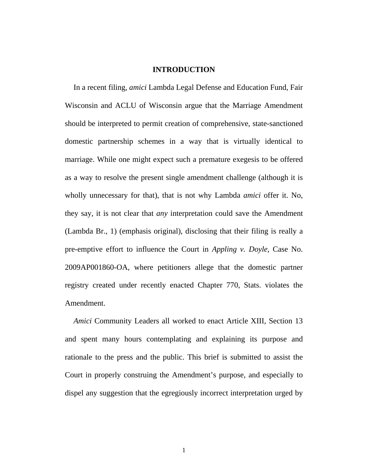#### **INTRODUCTION**

 In a recent filing, *amici* Lambda Legal Defense and Education Fund, Fair Wisconsin and ACLU of Wisconsin argue that the Marriage Amendment should be interpreted to permit creation of comprehensive, state-sanctioned domestic partnership schemes in a way that is virtually identical to marriage. While one might expect such a premature exegesis to be offered as a way to resolve the present single amendment challenge (although it is wholly unnecessary for that), that is not why Lambda *amici* offer it. No, they say, it is not clear that *any* interpretation could save the Amendment (Lambda Br., 1) (emphasis original), disclosing that their filing is really a pre-emptive effort to influence the Court in *Appling v. Doyle*, Case No. 2009AP001860-OA, where petitioners allege that the domestic partner registry created under recently enacted Chapter 770, Stats. violates the Amendment.

 *Amici* Community Leaders all worked to enact Article XIII, Section 13 and spent many hours contemplating and explaining its purpose and rationale to the press and the public. This brief is submitted to assist the Court in properly construing the Amendment's purpose, and especially to dispel any suggestion that the egregiously incorrect interpretation urged by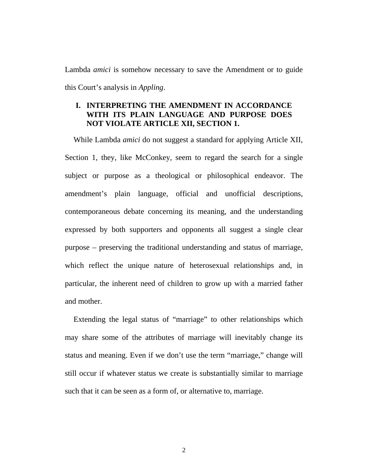Lambda *amici* is somehow necessary to save the Amendment or to guide this Court's analysis in *Appling*.

#### **I. INTERPRETING THE AMENDMENT IN ACCORDANCE WITH ITS PLAIN LANGUAGE AND PURPOSE DOES NOT VIOLATE ARTICLE XII, SECTION 1.**

 While Lambda *amici* do not suggest a standard for applying Article XII, Section 1, they, like McConkey, seem to regard the search for a single subject or purpose as a theological or philosophical endeavor. The amendment's plain language, official and unofficial descriptions, contemporaneous debate concerning its meaning, and the understanding expressed by both supporters and opponents all suggest a single clear purpose – preserving the traditional understanding and status of marriage, which reflect the unique nature of heterosexual relationships and, in particular, the inherent need of children to grow up with a married father and mother.

 Extending the legal status of "marriage" to other relationships which may share some of the attributes of marriage will inevitably change its status and meaning. Even if we don't use the term "marriage," change will still occur if whatever status we create is substantially similar to marriage such that it can be seen as a form of, or alternative to, marriage.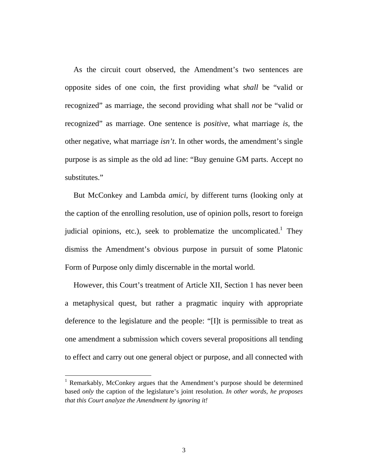As the circuit court observed, the Amendment's two sentences are opposite sides of one coin, the first providing what *shall* be "valid or recognized" as marriage, the second providing what shall *not* be "valid or recognized" as marriage. One sentence is *positive*, what marriage *is*, the other negative, what marriage *isn't*. In other words, the amendment's single purpose is as simple as the old ad line: "Buy genuine GM parts. Accept no substitutes."

 But McConkey and Lambda *amici*, by different turns (looking only at the caption of the enrolling resolution, use of opinion polls, resort to foreign judicial opinions, etc.), seek to problematize the uncomplicated.<sup>1</sup> They dismiss the Amendment's obvious purpose in pursuit of some Platonic Form of Purpose only dimly discernable in the mortal world.

 However, this Court's treatment of Article XII, Section 1 has never been a metaphysical quest, but rather a pragmatic inquiry with appropriate deference to the legislature and the people: "[I]t is permissible to treat as one amendment a submission which covers several propositions all tending to effect and carry out one general object or purpose, and all connected with

<sup>&</sup>lt;sup>1</sup> Remarkably, McConkey argues that the Amendment's purpose should be determined based *only* the caption of the legislature's joint resolution. *In other words, he proposes that this Court analyze the Amendment by ignoring it!*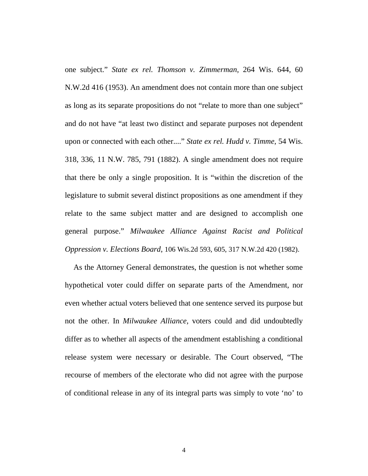one subject." *State ex rel. Thomson v. Zimmerman*, 264 Wis. 644, 60 N.W.2d 416 (1953). An amendment does not contain more than one subject as long as its separate propositions do not "relate to more than one subject" and do not have "at least two distinct and separate purposes not dependent upon or connected with each other...." *State ex rel. Hudd v. Timme*, 54 Wis. 318, 336, 11 N.W. 785, 791 (1882). A single amendment does not require that there be only a single proposition. It is "within the discretion of the legislature to submit several distinct propositions as one amendment if they relate to the same subject matter and are designed to accomplish one general purpose." *Milwaukee Alliance Against Racist and Political Oppression v. Elections Board*, 106 Wis.2d 593, 605, 317 N.W.2d 420 (1982).

 As the Attorney General demonstrates, the question is not whether some hypothetical voter could differ on separate parts of the Amendment, nor even whether actual voters believed that one sentence served its purpose but not the other. In *Milwaukee Alliance,* voters could and did undoubtedly differ as to whether all aspects of the amendment establishing a conditional release system were necessary or desirable. The Court observed, "The recourse of members of the electorate who did not agree with the purpose of conditional release in any of its integral parts was simply to vote 'no' to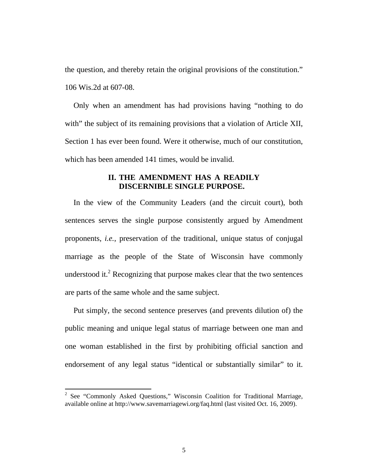the question, and thereby retain the original provisions of the constitution." 106 Wis.2d at 607-08.

 Only when an amendment has had provisions having "nothing to do with" the subject of its remaining provisions that a violation of Article XII, Section 1 has ever been found. Were it otherwise, much of our constitution, which has been amended 141 times, would be invalid.

#### **II. THE AMENDMENT HAS A READILY DISCERNIBLE SINGLE PURPOSE.**

 In the view of the Community Leaders (and the circuit court), both sentences serves the single purpose consistently argued by Amendment proponents, *i.e.*, preservation of the traditional, unique status of conjugal marriage as the people of the State of Wisconsin have commonly understood it. $2$  Recognizing that purpose makes clear that the two sentences are parts of the same whole and the same subject.

 Put simply, the second sentence preserves (and prevents dilution of) the public meaning and unique legal status of marriage between one man and one woman established in the first by prohibiting official sanction and endorsement of any legal status "identical or substantially similar" to it.

 $2^2$  See "Commonly Asked Questions," Wisconsin Coalition for Traditional Marriage, available online at http://www.savemarriagewi.org/faq.html (last visited Oct. 16, 2009).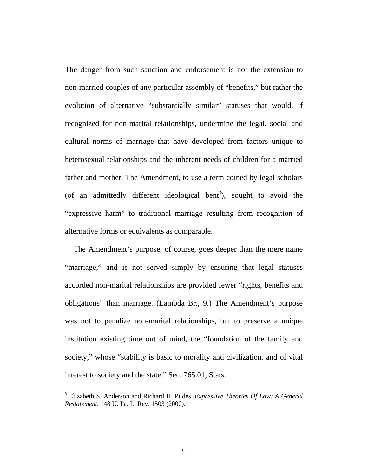The danger from such sanction and endorsement is not the extension to non-married couples of any particular assembly of "benefits," but rather the evolution of alternative "substantially similar" statuses that would, if recognized for non-marital relationships, undermine the legal, social and cultural norms of marriage that have developed from factors unique to heterosexual relationships and the inherent needs of children for a married father and mother. The Amendment, to use a term coined by legal scholars (of an admittedly different ideological bent<sup>3</sup>), sought to avoid the "expressive harm" to traditional marriage resulting from recognition of alternative forms or equivalents as comparable.

 The Amendment's purpose, of course, goes deeper than the mere name "marriage," and is not served simply by ensuring that legal statuses accorded non-marital relationships are provided fewer "rights, benefits and obligations" than marriage. (Lambda Br., 9.) The Amendment's purpose was not to penalize non-marital relationships, but to preserve a unique institution existing time out of mind, the "foundation of the family and society," whose "stability is basic to morality and civilization, and of vital interest to society and the state." Sec. 765.01, Stats.

<sup>3</sup> Elizabeth S. Anderson and Richard H. Pildes, *Expressive Theories Of Law: A General Restatement*, 148 U. Pa. L. Rev. 1503 (2000).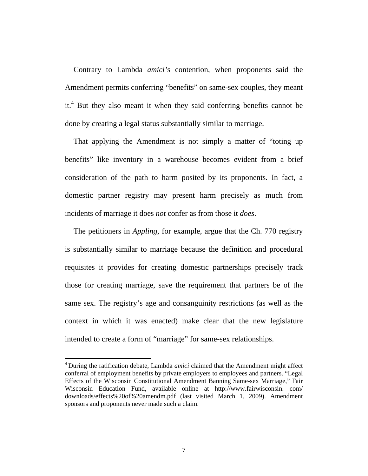Contrary to Lambda *amici'*s contention, when proponents said the Amendment permits conferring "benefits" on same-sex couples, they meant it.<sup>4</sup> But they also meant it when they said conferring benefits cannot be done by creating a legal status substantially similar to marriage.

 That applying the Amendment is not simply a matter of "toting up benefits" like inventory in a warehouse becomes evident from a brief consideration of the path to harm posited by its proponents. In fact, a domestic partner registry may present harm precisely as much from incidents of marriage it does *not* confer as from those it *does*.

 The petitioners in *Appling*, for example, argue that the Ch. 770 registry is substantially similar to marriage because the definition and procedural requisites it provides for creating domestic partnerships precisely track those for creating marriage, save the requirement that partners be of the same sex. The registry's age and consanguinity restrictions (as well as the context in which it was enacted) make clear that the new legislature intended to create a form of "marriage" for same-sex relationships.

<sup>4</sup> During the ratification debate, Lambda *amici* claimed that the Amendment might affect conferral of employment benefits by private employers to employees and partners. "Legal Effects of the Wisconsin Constitutional Amendment Banning Same-sex Marriage," Fair Wisconsin Education Fund, available online at http://www.fairwisconsin. com/ downloads/effects%20of%20amendm.pdf (last visited March 1, 2009). Amendment sponsors and proponents never made such a claim.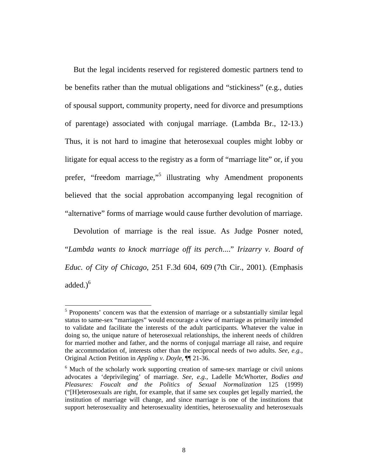But the legal incidents reserved for registered domestic partners tend to be benefits rather than the mutual obligations and "stickiness" (e.g., duties of spousal support, community property, need for divorce and presumptions of parentage) associated with conjugal marriage. (Lambda Br., 12-13.) Thus, it is not hard to imagine that heterosexual couples might lobby or litigate for equal access to the registry as a form of "marriage lite" or, if you prefer, "freedom marriage,"<sup>5</sup> illustrating why Amendment proponents believed that the social approbation accompanying legal recognition of "alternative" forms of marriage would cause further devolution of marriage.

 Devolution of marriage is the real issue. As Judge Posner noted, "*Lambda wants to knock marriage off its perch*...." *Irizarry v. Board of Educ. of City of Chicago*, 251 F.3d 604, 609 (7th Cir., 2001). (Emphasis added. $)^6$ 

<sup>&</sup>lt;sup>5</sup> Proponents' concern was that the extension of marriage or a substantially similar legal status to same-sex "marriages" would encourage a view of marriage as primarily intended to validate and facilitate the interests of the adult participants. Whatever the value in doing so, the unique nature of heterosexual relationships, the inherent needs of children for married mother and father, and the norms of conjugal marriage all raise, and require the accommodation of, interests other than the reciprocal needs of two adults. *See, e.g.,*  Original Action Petition in *Appling v. Doyle*, ¶¶ 21-36.

<sup>&</sup>lt;sup>6</sup> Much of the scholarly work supporting creation of same-sex marriage or civil unions advocates a 'deprivileging' of marriage. *See, e.g.*, Ladelle McWhorter, *Bodies and Pleasures: Foucalt and the Politics of Sexual Normalization* 125 (1999) ("[H]eterosexuals are right, for example, that if same sex couples get legally married, the institution of marriage will change, and since marriage is one of the institutions that support heterosexuality and heterosexuality identities, heterosexuality and heterosexuals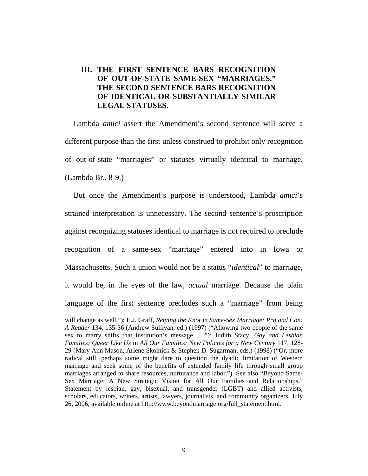#### **III. THE FIRST SENTENCE BARS RECOGNITION OF OUT-OF-STATE SAME-SEX "MARRIAGES." THE SECOND SENTENCE BARS RECOGNITION OF IDENTICAL OR SUBSTANTIALLY SIMILAR LEGAL STATUSES.**

 Lambda *amici* assert the Amendment's second sentence will serve a different purpose than the first unless construed to prohibit only recognition of out-of-state "marriages" or statuses virtually identical to marriage. (Lambda Br., 8-9.)

 But once the Amendment's purpose is understood, Lambda *amici*'s strained interpretation is unnecessary. The second sentence's proscription against recognizing statuses identical to marriage is not required to preclude recognition of a same-sex "marriage" entered into in Iowa or Massachusetts. Such a union would not be a status "*identical*" to marriage, it would be, in the eyes of the law, *actual* marriage. Because the plain language of the first sentence precludes such a "marriage" from being

<u> 1989 - Johann Stein, marwolaethau a bhann an t-Amhain an t-Amhain an t-Amhain an t-Amhain an t-Amhain an t-A</u>

will change as well."); E.J. Graff, *Retying the Knot* in *Same-Sex Marriage: Pro and Con: A Reader* 134, 135-36 (Andrew Sullivan, ed.) (1997) ("Allowing two people of the same sex to marry shifts that institution's message …."); Judith Stacy, *Gay and Lesbian Families; Queer Like Us* in *All Our Families: New Policies for a New Century* 117, 128- 29 (Mary Ann Mason, Arlene Skolnick & Stephen D. Sugarman, eds.) (1998) ("Or, more radical still, perhaps some might dare to question the dyadic limitation of Western marriage and seek some of the benefits of extended family life through small group marriages arranged to share resources, nurturance and labor."). See also "Beyond Same-Sex Marriage: A New Strategic Vision for All Our Families and Relationships," Statement by lesbian, gay, bisexual, and transgender (LGBT) and allied activists, scholars, educators, writers, artists, lawyers, journalists, and community organizers, July 26, 2006, available online at http://www.beyondmarriage.org/full\_statement.html.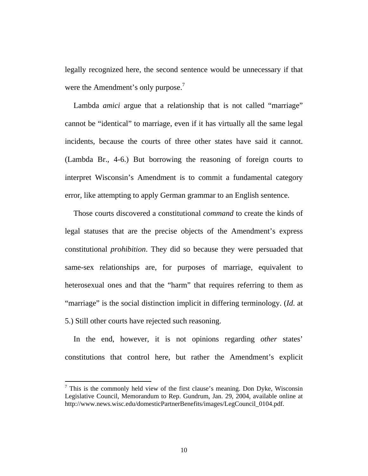legally recognized here, the second sentence would be unnecessary if that were the Amendment's only purpose.<sup>7</sup>

 Lambda *amici* argue that a relationship that is not called "marriage" cannot be "identical" to marriage, even if it has virtually all the same legal incidents, because the courts of three other states have said it cannot. (Lambda Br., 4-6.) But borrowing the reasoning of foreign courts to interpret Wisconsin's Amendment is to commit a fundamental category error, like attempting to apply German grammar to an English sentence.

 Those courts discovered a constitutional *command* to create the kinds of legal statuses that are the precise objects of the Amendment's express constitutional *prohibition*. They did so because they were persuaded that same-sex relationships are, for purposes of marriage, equivalent to heterosexual ones and that the "harm" that requires referring to them as "marriage" is the social distinction implicit in differing terminology. (*Id*. at 5.) Still other courts have rejected such reasoning.

 In the end, however, it is not opinions regarding *other* states' constitutions that control here, but rather the Amendment's explicit

 $7$  This is the commonly held view of the first clause's meaning. Don Dyke, Wisconsin Legislative Council, Memorandum to Rep. Gundrum, Jan. 29, 2004, available online at http://www.news.wisc.edu/domesticPartnerBenefits/images/LegCouncil\_0104.pdf.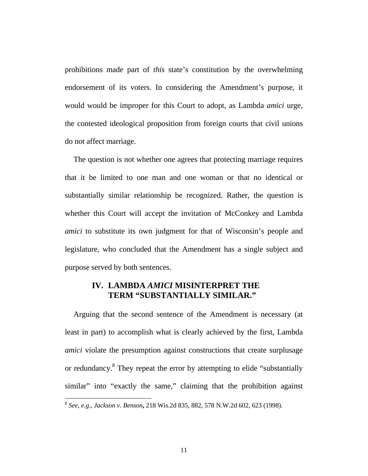prohibitions made part of *this* state's constitution by the overwhelming endorsement of its voters. In considering the Amendment's purpose, it would would be improper for this Court to adopt, as Lambda *amici* urge, the contested ideological proposition from foreign courts that civil unions do not affect marriage.

 The question is not whether one agrees that protecting marriage requires that it be limited to one man and one woman or that no identical or substantially similar relationship be recognized. Rather, the question is whether this Court will accept the invitation of McConkey and Lambda *amici* to substitute its own judgment for that of Wisconsin's people and legislature, who concluded that the Amendment has a single subject and purpose served by both sentences.

## **IV. LAMBDA** *AMICI* **MISINTERPRET THE TERM "SUBSTANTIALLY SIMILAR."**

 Arguing that the second sentence of the Amendment is necessary (at least in part) to accomplish what is clearly achieved by the first, Lambda *amici* violate the presumption against constructions that create surplusage or redundancy.<sup>8</sup> They repeat the error by attempting to elide "substantially similar" into "exactly the same," claiming that the prohibition against

<sup>8</sup> *See, e.g*., *Jackson v. Benson***,** 218 Wis.2d 835, 882, 578 N.W.2d 602, 623 (1998).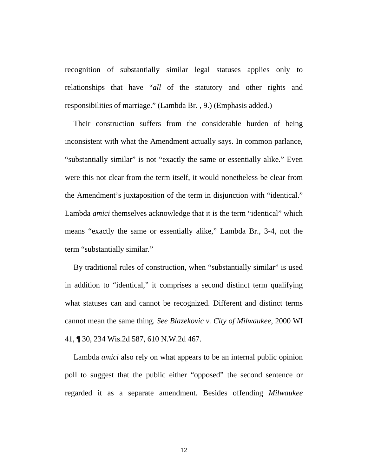recognition of substantially similar legal statuses applies only to relationships that have "*all* of the statutory and other rights and responsibilities of marriage." (Lambda Br. , 9.) (Emphasis added.)

 Their construction suffers from the considerable burden of being inconsistent with what the Amendment actually says. In common parlance, "substantially similar" is not "exactly the same or essentially alike." Even were this not clear from the term itself, it would nonetheless be clear from the Amendment's juxtaposition of the term in disjunction with "identical." Lambda *amici* themselves acknowledge that it is the term "identical" which means "exactly the same or essentially alike," Lambda Br., 3-4, not the term "substantially similar."

 By traditional rules of construction, when "substantially similar" is used in addition to "identical," it comprises a second distinct term qualifying what statuses can and cannot be recognized. Different and distinct terms cannot mean the same thing. *See Blazekovic v. City of Milwaukee*, 2000 WI 41, ¶ 30, 234 Wis.2d 587, 610 N.W.2d 467.

 Lambda *amici* also rely on what appears to be an internal public opinion poll to suggest that the public either "opposed" the second sentence or regarded it as a separate amendment. Besides offending *Milwaukee*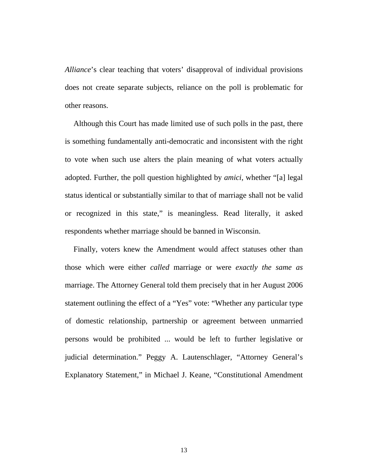*Alliance*'s clear teaching that voters' disapproval of individual provisions does not create separate subjects, reliance on the poll is problematic for other reasons.

 Although this Court has made limited use of such polls in the past, there is something fundamentally anti-democratic and inconsistent with the right to vote when such use alters the plain meaning of what voters actually adopted. Further, the poll question highlighted by *amici*, whether "[a] legal status identical or substantially similar to that of marriage shall not be valid or recognized in this state," is meaningless. Read literally, it asked respondents whether marriage should be banned in Wisconsin.

 Finally, voters knew the Amendment would affect statuses other than those which were either *called* marriage or were *exactly the same as* marriage. The Attorney General told them precisely that in her August 2006 statement outlining the effect of a "Yes" vote: "Whether any particular type of domestic relationship, partnership or agreement between unmarried persons would be prohibited ... would be left to further legislative or judicial determination." Peggy A. Lautenschlager, "Attorney General's Explanatory Statement," in Michael J. Keane, "Constitutional Amendment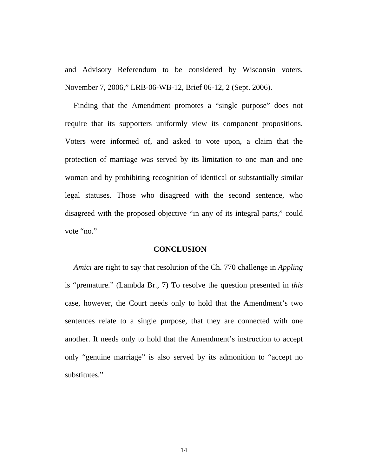and Advisory Referendum to be considered by Wisconsin voters, November 7, 2006," LRB-06-WB-12, Brief 06-12, 2 (Sept. 2006).

 Finding that the Amendment promotes a "single purpose" does not require that its supporters uniformly view its component propositions. Voters were informed of, and asked to vote upon, a claim that the protection of marriage was served by its limitation to one man and one woman and by prohibiting recognition of identical or substantially similar legal statuses. Those who disagreed with the second sentence, who disagreed with the proposed objective "in any of its integral parts," could vote "no."

#### **CONCLUSION**

*Amici* are right to say that resolution of the Ch. 770 challenge in *Appling*  is "premature." (Lambda Br., 7) To resolve the question presented in *this* case, however, the Court needs only to hold that the Amendment's two sentences relate to a single purpose, that they are connected with one another. It needs only to hold that the Amendment's instruction to accept only "genuine marriage" is also served by its admonition to "accept no substitutes."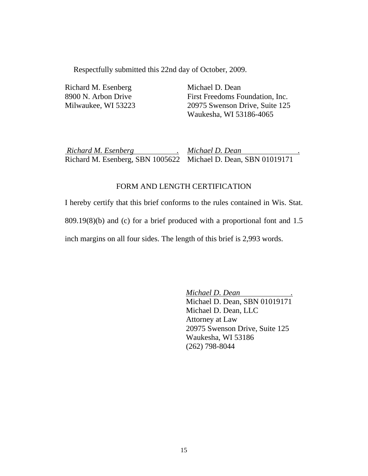Respectfully submitted this 22nd day of October, 2009.

Richard M. Esenberg 8900 N. Arbon Drive Milwaukee, WI 53223

Michael D. Dean First Freedoms Foundation, Inc. 20975 Swenson Drive, Suite 125 Waukesha, WI 53186-4065

 *Richard M. Esenberg .* Richard M. Esenberg, SBN 1005622 Michael D. Dean, SBN 01019171 *Michael D. Dean .*

#### FORM AND LENGTH CERTIFICATION

I hereby certify that this brief conforms to the rules contained in Wis. Stat. 809.19(8)(b) and (c) for a brief produced with a proportional font and 1.5 inch margins on all four sides. The length of this brief is 2,993 words.

> *Michael D. Dean .* Michael D. Dean, SBN 01019171 Michael D. Dean, LLC Attorney at Law 20975 Swenson Drive, Suite 125 Waukesha, WI 53186 (262) 798-8044